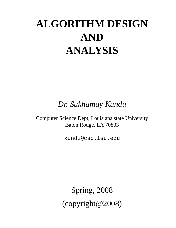# **ALGORITHM DESIGN AND ANALYSIS**

*Dr. Sukhamay Kundu*

Computer Science Dept, Louisiana state University Baton Rouge, LA 70803

kundu@csc.lsu.edu

Spring, 2008 (copyright@2008)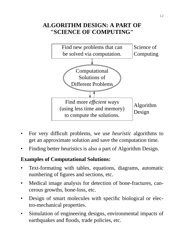# **ALGORITHM DESIGN: A PART OF "SCIENCE OF COMPUTING"**



- For very difficult problems, we use *heuristic* algorithms to get an approximate solution and save the computation time.
- Finding better heuristics is also a part of Algorithm Design.

### **Examples of Computational Solutions:**

- Text-formating with tables, equations, diagrams, automatic numbering of figures and sections, etc.
- Medical image analysis for detection of bone-fractures, cancerous growths, bone-loss, etc.
- Design of smart molecules with specific biological or electro-mechanical properties.
- Simulation of engineering designs, environmental impacts of earthquakes and floods, trade policies, etc.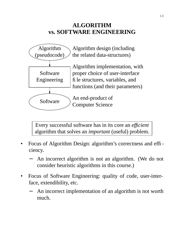### **ALGORITHM vs. SOFTWARE ENGINEERING**



Every successful software has in its core an *efficient* algorithm that solves an *important* (useful) problem.

- Focus of Algorithm Design: algorithm's correctness and efficiency.
	- An incorrect algorithm is not an algorithm. (We do not consider heuristic algorithms in this course.)
- Focus of Software Engineering: quality of code, user-interface, extendibility, etc.
	- An incorrect implementation of an algorithm is not worth much.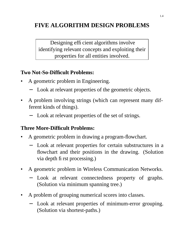# **FIVE ALGORITHM DESIGN PROBLEMS**

Designing efficient algorithms involve identifying relevant concepts and exploiting their properties for all entities involved.

#### **Two Not-So-Difficult Problems:**

- A geometric problem in Engineering.
	- Look at relevant properties of the geometric objects.
- A problem involving strings (which can represent many different kinds of things).
	- − Look at relevant properties of the set of strings.

### **Three More-Difficult Problems:**

- A geometric problem in drawing a program-flowchart.
	- − Look at relevant properties for certain substructures in a flowchart and their positions in the drawing. (Solution via depth first processing.)
- A geometric problem in Wireless Communication Networks.
	- Look at relevant connectedness property of graphs. (Solution via minimum spanning tree.)
- A problem of grouping numerical scores into classes.
	- Look at relevant properties of minimum-error grouping. (Solution via shortest-paths.)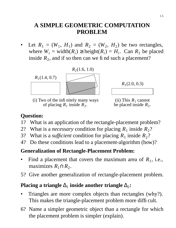# **A SIMPLE GEOMETRIC COMPUTATION PROBLEM**

• Let  $R_1 = (W_1, H_1)$  and  $R_2 = (W_2, H_2)$  be two rectangles, where  $W_i$  = width $(R_i)$  ≥ height $(R_i) = H_i$ . Can  $R_1$  be placed inside  $R_2$ , and if so then can we find such a placement?



(i) Two of the infinitely many ways of placing  $R_1$  inside  $R_2$ .



(ii) This  $R_1$  cannot be placed inside  $R_2$ .

### **Question:**

- 1? What is an application of the rectangle-placement problem?
- 2? What is a *necessary* condition for placing  $R_1$  inside  $R_2$ ?
- 3? What is a *sufficient* condition for placing  $R_1$  inside  $R_2$ ?
- 4? Do these conditions lead to a placement-algorithm (how)?

### **Generalization of Rectangle-Placement Problem:**

- Find a placement that covers the maximum area of  $R_1$ , i.e., maximizes  $R_1 \cap R_2$ .
- 5? Give another generalization of rectangle-placement problem.

# **Placing a triangle**  $\Delta_1$  inside another triangle  $\Delta_2$ :

- Triangles are more complex objects than rectangles (why?). This makes the triangle-placement problem more difficult.
- 6? Name a simpler geometric object than a rectangle for which the placement problem is simpler (explain).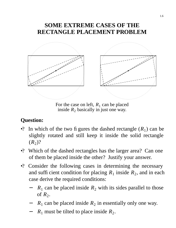### **SOME EXTREME CASES OF THE RECTANGLE PLACEMENT PROBLEM**



For the case on left,  $R_1$  can be placed inside  $R_2$  basically in just one way.

- •? In which of the two figures the dashed rectangle  $(R_1)$  can be slightly rotated and still keep it inside the solid rectangle  $(R_2)$ ?
- •? Which of the dashed rectangles has the larger area? Can one of them be placed inside the other? Justify your answer.
- •? Consider the following cases in determining the necessary and sufficient condition for placing  $R_1$  inside  $R_2$ , and in each case derive the required conditions:
	- $R_1$  can be placed inside  $R_2$  with its sides parallel to those of  $R_2$ .
	- −  $R_1$  can be placed inside  $R_2$  in essentially only one way.
	- − *R*<sup>1</sup> must be tilted to place inside *R*<sup>2</sup> .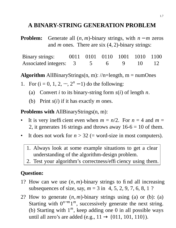# **A BINARY-STRING GENERATION PROBLEM**

**Problem:** Generate all  $(n, m)$ -binary strings, with  $n - m$  zeros and *m* ones. There are six (4, 2)-binary strings:

Binary strings: 0011 0101 0110 1001 1010 1100 Associated integers: 3 5 6 9 10 12

**Algorithm** AllBinaryStrings $(n, m)$ : //n=length, m = numOnes

1. For  $(i = 0, 1, 2, ..., 2<sup>n</sup> - 1)$  do the following:

- (a) Convert *i* to its binary-string form *s*(*i*) of length *n*.
- (b) Print *s*(*i*) if it has exactly *m* ones.

**Problems with** AllBinaryStrings(n, m):

- It is very inefficient even when  $m = n/2$ . For  $n = 4$  and  $m =$ 2, it generates 16 strings and throws away  $16-6 = 10$  of them.
- It does not work for  $n > 32$  (= word-size in most computers).
	- 1. Always look at some example situations to get a clear understanding of the algorithm-design problem.
	- 2. Test your algorithm's correctness/efficiency using them.

- 1? How can we use  $(n, m)$ -binary strings to find all increasing subsequences of size, say,  $m = 3$  in  $\langle 4, 5, 2, 9, 7, 6, 8, 1 \rangle$ ?
- 2? How to generate (*n*, *m*)-binary strings using (a) or (b): (a) Starting with  $0^{n-m}1^m$ , successively generate the next string. (b) Starting with  $1^m$ , keep adding one 0 in all possible ways until all zero's are added (e.g.,  $11 \rightarrow \{011, 101, 110\}$ ).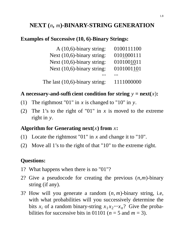# **NEXT (***n***,** *m***)-BINARY-STRING GENERATION**

#### **Examples of Successive (10, 6)-Binary Strings:**

| A $(10,6)$ -binary string:        | 0100111100 |
|-----------------------------------|------------|
| Next $(10,6)$ -binary string:     | 0101000111 |
| Next (10,6)-binary string:        | 0101001011 |
| Next $(10,6)$ -binary string:     | 0101001101 |
|                                   |            |
| The last $(10,6)$ -binary string: | 1111000000 |

#### **A** necessary-and-sufficient condition for string  $y = \text{next}(x)$ :

- (1) The rigthmost "01" in *x* is changed to "10" in *y*.
- (2) The 1's to the right of "01" in *x* is moved to the extreme right in *y*.

#### **Algorithm for Generating next(***x***) from** *x***:**

- (1) Locate the rightmost "01" in *x* and change it to "10".
- (2) Move all 1's to the right of that "10" to the extreme right.

- 1? What happens when there is no "01"?
- 2? Give a pseudocode for creating the previous (*n*,*m*)-binary string (if any).
- 3? How will you generate a random (*n*, *m*)-binary string, i.e, with what probabilities will you successively determine the bits  $x_i$  of a random binary-string  $x_1 x_2 \cdots x_n$ ? Give the probabilities for successive bits in 01101 ( $n = 5$  and  $m = 3$ ).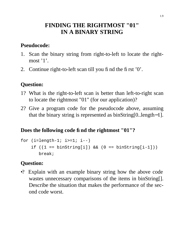### **FINDING THE RIGHTMOST "01" IN A BINARY STRING**

### **Pseudocode:**

- 1. Scan the binary string from right-to-left to locate the rightmost '1'.
- 2. Continue right-to-left scan till you find the first '0'.

### **Question:**

- 1? What is the right-to-left scan is better than left-to-right scan to locate the rightmost "01" (for our application)?
- 2? Give a program code for the pseudocode above, assuming that the binary string is represented as binString[0..length−1].

#### **Does the following code find the rightmost "01"?**

```
for (i=length-1; i>=1; i--)if ((1 == binary[i]) & (0 == binary[i-1]))break;
```
### **Question:**

•? Explain with an example binary string how the above code wastes unnecessary comparisons of the items in binString[]. Describe the situation that makes the performance of the second code worst.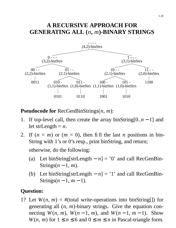### **A RECURSIVE APPROACH FOR GENERATING ALL (***n***,** *m***)-BINARY STRINGS**



**Pseudocode for** RecGenBinStrings(*n*, *m*):

- 1. If top-level call, then create the array binString[0..*n* − 1] and let strLength = *n*.
- 2. If  $(n = m)$  or  $(m = 0)$ , then fill the last *n* positions in bin-String with 1's or 0's resp., print binString, and return; otherwise, do the following:
	- (a) Let binString[strLength  $n$ ] = '0' and call RecGenBin-Strings $(n-1, m)$ .
	- (b) Let binString[strLength − *n*]='1' and call RecGenBin-Strings( $n-1$ ,  $m-1$ ).

### **Question:**

1? Let  $W(n, m) = #$ (total write-operations into binString[]) for generating all (*n*, *m*)-binary strings. Give the equation connecting  $W(n, m)$ ,  $W(n-1, m)$ , and  $W(n-1, m-1)$ . Show *W*(*n*, *m*) for  $1 \le n \le 6$  and  $0 \le m \le n$  in Pascal-triangle form.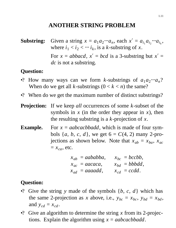### **ANOTHER STRING PROBLEM**

**Substring:** Given a string  $x = a_1 a_2 \cdots a_n$ , each  $x' = a_{i_1} a_{i_2} \cdots a_{i_k}$ , where  $i_1 < i_2 < \cdots i_k$ , is a *k*-substring of *x*. For  $x = abbacd$ ,  $x' = bcd$  is a 3-substring but  $x' =$ *dc* is not a substring.

#### **Question:**

- •? How many ways can we form *k*-substrings of  $a_1 a_2 \cdots a_n$ ? When do we get all *k*-substrings  $(0 < k < n)$  the same?
- •? When do we get the maximum number of distinct substrings?
- **Projection:** If we keep *all* occurrences of some *k*-subset of the symbols in *x* (in the order they appear in *x*), then the resulting substring is a *k*-projection of *x*.
- **Example.** For  $x = aabcacbbadd$ , which is made of four symbols  $\{a, b, c, d\}$ , we get  $6 = C(4, 2)$  many 2-projections as shown below. Note that  $x_{ab} = x_{ba}$ ,  $x_{ac}$  $=x_{ca}$ , etc.

| $x_{ab} = aababba,$     | $x_{bc} = bccbb$ ,  |
|-------------------------|---------------------|
| $x_{ac} = aacaca,$      | $x_{bd} = bbbdd,$   |
| $x_{ad} = a a a a d d,$ | $x_{cd} = c c d d.$ |

- •? Give the string *y* made of the symbols {*b*, *c*, *d*} which has the same 2-projection as *x* above, i.e.,  $y_{bc} = x_{bc}$ ,  $y_{bd} = x_{bd}$ , and  $y_{cd} = x_{cd}$ .
- •? Give an algorithm to determine the string *x* from its 2-projections. Explain the algorithm using *x* = *aabcacbbadd*.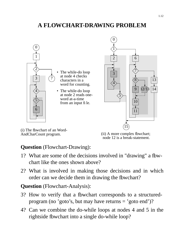# **A FLOWCHART-DRAWING PROBLEM**



- The while-do loop at node 4 checks characters in a word for counting.
- The while-do loop at node 2 reads oneword at-a-time from an input file.



(i) The flowchart of an Word-AndCharCount program.

(ii) A more complex fbwchart; node 12 is a break-statement.

### **Question** (Flowchart-Drawing):

- 1? What are some of the decisions involved in "drawing" a fbwchart like the ones shown above?
- 2? What is involved in making those decisions and in which order can we decide them in drawing the flowchart?

**Question** (Flowchart-Analysis):

- 3? How to verify that a flowchart corresponds to a structuredprogram (no 'goto's, but may have returns = 'goto end')?
- 4? Can we combine the do-while loops at nodes 4 and 5 in the rightside flowchart into a single do-while loop?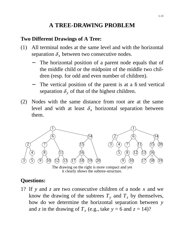# **A TREE-DRAWING PROBLEM**

### **Two Different Drawings of A Tree:**

- (1) All terminal nodes at the same level and with the horizontal separation  $\delta_x$  between two consecutive nodes.
	- The horizontal position of a parent node equals that of the middle child or the midpoint of the middle two children (resp. for odd and even number of children).
	- The vertical position of the parent is at a fixed vertical separation  $\delta_{\nu}$  of that of the highest children.
- (2) Nodes with the same distance from root are at the same level and with at least  $\delta_x$  horizontal separation between them.



The drawing on the right is more compact and yet it clearly shows the subtree-structure.

# **Questions:**

1? If *y* and *z* are two consecutive children of a node *x* and we know the drawing of the subtrees  $T_y$  and  $T_z$  by themselves, how do we determine the horizontal separation between *y* and *z* in the drawing of  $T_x$  (e.g., take  $y = 6$  and  $z = 14$ )?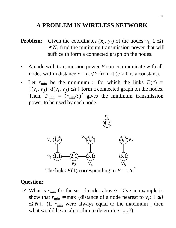### **A PROBLEM IN WIRELESS NETWORK**

- **Problem:** Given the coordinates  $(x_i, y_i)$  of the nodes  $v_i$ ,  $1 \le i$  $\leq N$ , find the minimum transmission-power that will suffice to form a connected graph on the nodes.
- A node with transmission power *P* can communicate with all nodes within distance  $r = c$ .  $\sqrt{P}$  from it ( $c > 0$  is a constant).
- Let  $r_{\min}$  be the minimum *r* for which the links  $E(r)$  =  $\{(v_i, v_j): d(v_i, v_j) \le r\}$  form a connected graph on the nodes. Then,  $P_{\text{min}} = (r_{\text{min}}/c)^2$  gives the minimum transmission power to be used by each node.



The links  $E(1)$  corresponding to  $P = 1/c^2$ 

#### **Question:**

1? What is  $r_{\text{min}}$  for the set of nodes above? Give an example to show that  $r_{\text{min}} \neq \max$  {distance of a node nearest to  $v_i$ :  $1 \leq i$  $\leq N$ . (If  $r_{\min}$  were always equal to the maximum, then what would be an algorithm to determine  $r_{\text{min}}$ ?)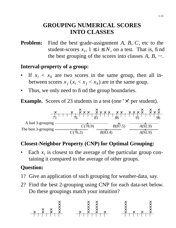### **GROUPING NUMERICAL SCORES INTO CLASSES**

**Problem:** Find the best grade-assignment *A*, *B*, *C*, etc to the student-scores  $x_i$ ,  $1 \le i \le N$ , on a test. That is, find the best grouping of the scores into classes  $A, B, \dots$ .

### **Interval-property of a group:**

- If  $x_i < x_k$  are two scores in the same group, then all inbetween scores  $x_j$  ( $x_i < x_j < x_k$ ) are in the same goup.
- Thus, we only need to find the group boundaries.

**Example.** Scores of 23 students in a test (one ' $\times$ ' per student).



### **Closest-Neighbor Property (CNP) for Optimal Grouping:**

• Each  $x_i$  is closest to the average of the particular group containing it compared to the average of other groups.

- 1? Give an application of such grouping for weather-data, say.
- 2? Find the best 2-grouping using CNP for each data-set below. Do these groupings match your intuition?

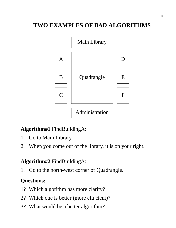# **TWO EXAMPLES OF BAD ALGORITHMS**



### **Algorithm#1** FindBuildingA:

- 1. Go to Main Library.
- 2. When you come out of the library, it is on your right.

### **Algorithm#2** FindBuildingA:

1. Go to the north-west corner of Quadrangle.

- 1? Which algorithm has more clarity?
- 2? Which one is better (more efficient)?
- 3? What would be a better algorithm?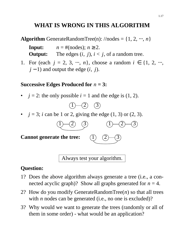# **WHAT IS WRONG IN THIS ALGORITHM**

**Algorithm** GenerateRandomTree(n):  $//$ nodes =  $\{1, 2, \cdots, n\}$ 

| Input:         | $n = \text{\#(nodes)}$ ; $n \geq 2$ .            |
|----------------|--------------------------------------------------|
| <b>Output:</b> | The edges $(i, j)$ , $i < j$ , of a random tree. |

1. For (each  $j = 2, 3, ..., n$ ), choose a random  $i \in \{1, 2, ...,$ *j* − 1) and output the edge (*i*, *j*).

#### **Successive Edges Produced for** *n* **= 3:**

•  $j = 2$ : the only possible  $i = 1$  and the edge is  $(1, 2)$ .



•  $j = 3$ ; *i* can be 1 or 2, giving the edge  $(1, 3)$  or  $(2, 3)$ .



Always test your algorithm.

- 1? Does the above algorithm always generate a tree (i.e., a connected acyclic graph)? Show all graphs generated for  $n = 4$ .
- 2? How do you modify GenerateRandomTree(*n*) so that all trees with *n* nodes can be generated (i.e., no one is excluded)?
- 3? Why would we want to generate the trees (randomly or all of them in some order) - what would be an application?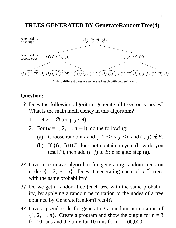# **TREES GENERATED BY GenerateRandomTree(4)**



Only 6 different trees are generated, each with degree $(4) = 1$ .

- 1? Does the following algorithm generate all trees on *n* nodes? What is the main inefficiency in this algorithm?
	- 1. Let  $E = \emptyset$  (empty set).
	- 2. For  $(k = 1, 2, \dots, n 1)$ , do the following:
		- (a) Choose random *i* and  $j, 1 \le i < j \le n$  and  $(i, j) \notin E$ .
		- (b) If {(*i*, *j*)}∪*E* does not contain a cycle (how do you test it?), then add  $(i, j)$  to  $E$ ; else goto step  $(a)$ .
- 2? Give a recursive algorithm for generating random trees on nodes  $\{1, 2, \cdots, n\}$ . Does it generating each of  $n^{n-2}$  trees with the same probability?
- 3? Do we get a random tree (each tree with the same probability) by applying a random permutation to the nodes of a tree obtained by GenerateRandomTree(4)?
- 4? Give a pseudocode for generating a random permutation of  $\{1, 2, \cdots, n\}$ . Create a program and show the output for  $n = 3$ for 10 runs and the time for 10 runs for  $n = 100,000$ .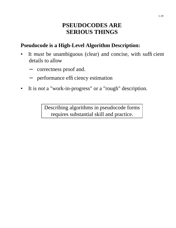### **PSEUDOCODES ARE SERIOUS THINGS**

### **Pseudocode is a High-Level Algorithm Description:**

- It *must* be unambiguous (clear) and concise, with sufficient details to allow
	- correctness proof and.
	- − performance efficiency estimation
- It is *not* a "work-in-progress" or a "rough" description.

Describing algorithms in pseudocode forms requires substantial skill and practice.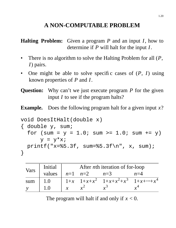# **A NON-COMPUTABLE PROBLEM**

**Halting Problem:** Given a program  $P$  and an input  $I$ , how to determine if *P* will halt for the input *I*.

- There is no algorithm to solve the Halting Problem for all (*P*, *I*) pairs.
- One might be able to solve specific cases of (*P*, *I*) using known properties of *P* and *I*.
- **Question:** Why can't we just execute program *P* for the given input *I* to see if the program halts?

**Example.** Does the following program halt for a given input *x*?

```
void DoesItHalt(double x)
{ double y, sum;
  for (sum = y = 1.0; sum >= 1.0; sum += y)y = y^*x;printf("x=%5.3f, sum=%5.3f\n", x, sum);
}
```

| Vars | Initial | After <i>n</i> th iteration of for-loop |                          |                                                |       |
|------|---------|-----------------------------------------|--------------------------|------------------------------------------------|-------|
|      |         |                                         | values $n=1$ $n=2$ $n=3$ |                                                | $n=4$ |
| sum  | 1.0     |                                         |                          | $1+x$ $1+x+x^2$ $1+x+x^2+x^3$ $1+x+\cdots+x^4$ |       |
|      |         |                                         |                          |                                                |       |

The program will halt if and only if *x* < 0.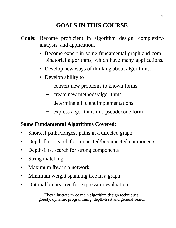# **GOALS IN THIS COURSE**

- **Goals:** Become proficient in algorithm design, complexityanalysis, and application.
	- Become expert in some fundamental graph and combinatorial algorithms, which have many applications.
	- Develop new ways of thinking about algorithms.
	- Develop ability to
		- − convert new problems to known forms
		- − create new methods/algorithms
		- − determine efficient implementations
		- − express algorithms in a pseudocode form

### **Some Fundamental Algorithms Covered:**

- Shortest-paths/longest-paths in a directed graph
- Depth-first search for connected/biconnected components
- Depth-first search for strong components
- String matching
- Maximum fbw in a network
- Minimum weight spanning tree in a graph
- Optimal binary-tree for expression-evaluation

They illustrate three main algorithm design techniques: greedy, dynamic programming, depth-first and general search.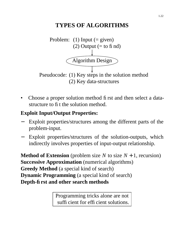# **TYPES OF ALGORITHMS**



• Choose a proper solution method first and then select a datastructure to fit the solution method.

# **Exploit Input/Output Properties:**

- Exploit properties/structures among the different parts of the problem-input.
- Exploit properties/structures of the solution-outputs, which indirectly involves properties of input-output relationship.

**Method of Extension** (problem size  $N$  to size  $N + 1$ , recursion) **Successive Approximation** (numerical algorithms) **Greedy Method** (a special kind of search) **Dynamic Programming** (a special kind of search) **Depth-first and other search methods**

> Programming tricks alone are not sufficient for efficient solutions.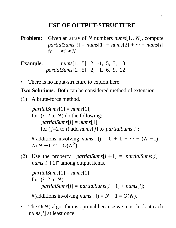# **USE OF OUTPUT-STRUCTURE**

**Problem:** Given an array of *N* numbers *nums*[1. . *N*], compute  $partialSums[i] = nums[1] + nums[2] + \cdots + nums[i]$ for  $1 \leq i \leq N$ .

**Example.** *nums*[1. . 5]: 2, -1, 5, 3, 3 *partialSums*[1. . 5]: 2, 1, 6, 9, 12

There is no input-structure to exploit here.

**Two Solutions.** Both can be considered method of extension.

(1) A brute-force method.

 $partialSums[1] = nums[1];$ for  $(i=2 \text{ to } N)$  do the following:  $partialSums[i] = nums[1];$ for  $(j=2 \text{ to } i)$  add  $nums[j]$  to  $partialSums[i];$ 

#(additions involving  $nums[.]$ ) = 0 + 1 + ··· +  $(N-1)$  =  $N(N-1)/2 = O(N^2)$ .

(2) Use the property "*partialSums* $[i+1]$  = *partialSums* $[i]$  +  $nums[i + 1]'$  among output items.

```
partialSums[1] = nums[1];for (i=2 \text{ to } N)partialSums[i] = partialSums[i-1] + nums[i];
```
#(additions involving  $nums[.]$ ) =  $N - 1 = O(N)$ .

The  $O(N)$  algorithm is optimal because we must look at each *nums*[*i*] at least once.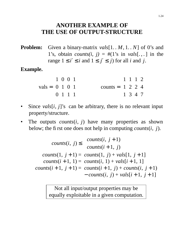### **ANOTHER EXAMPLE OF THE USE OF OUTPUT-STRUCTURE**

**Problem:** Given a binary-matrix *vals*[1. . *M*, 1. . *N*] of 0's and 1's, obtain *counts(i, j)* =  $\#(1\text{'s in } vals[., .]$  in the range  $1 \le i' \le i$  and  $1 \le j' \le j$  for all *i* and *j*.

**Example.**

$$
vals = \begin{bmatrix} 1 & 0 & 0 & 1 \\ 0 & 1 & 0 & 1 \\ 0 & 1 & 1 & 1 \end{bmatrix} \qquad \text{counts} = \begin{bmatrix} 1 & 1 & 1 & 2 \\ 1 & 2 & 2 & 4 \\ 1 & 3 & 4 & 7 \end{bmatrix}
$$

- Since  $vals[i, j]$ 's can be arbitrary, there is no relevant input property/structure.
- The outputs  $counts(i, j)$  have many properties as shown below; the first one does not help in computing *counts*(*i*, *j*).

$$
counts(i, j) \leq \begin{cases} counts(i, j+1) \\ counts(i+1, j) \end{cases}
$$
  
counts(1, j+1) = counts(1, j) + vals[1, j+1]  
counts(i+1, 1) = counts(i, 1) + vals[i+1, 1]  
counts(i+1, j+1) = counts(i+1, j) + counts(i, j+1)  
– counts(i, j) + vals[i+1, j+1]

Not all input/output properties may be equally exploitable in a given computation.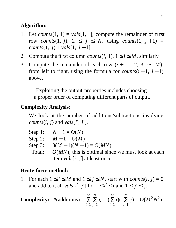### **Algorithm:**

- 1. Let *counts* $(1, 1) = vals[1, 1]$ ; compute the remainder of first row *counts* $(1, j)$ ,  $2 \leq j \leq N$ , using *counts* $(1, j + 1) =$ *counts* $(1, j) + \nu a l s [1, j + 1].$
- 2. Compute the first column *counts* $(i, 1)$ ,  $1 \le i \le M$ , similarly.
- 3. Compute the remainder of each row  $(i + 1 = 2, 3, \dots, M)$ , from left to right, using the formula for *counts* $(i + 1, j + 1)$ above.

Exploiting the output-properties includes choosing a proper order of computing different parts of output.

### **Complexity Analysis:**

We look at the number of additions/subtractions involving *counts*(*i*, *j*) and *vals*[*i*′ , *j*′].

|        | Step 1: $N - 1 = O(N)$                                  |
|--------|---------------------------------------------------------|
|        | Step 2: $M - 1 = O(M)$                                  |
|        | Step 3: $3(M-1)(N-1) = O(MN)$                           |
| Total: | $O(MN)$ ; this is optimal since we must look at each    |
|        | item <i>vals</i> [ <i>i</i> , <i>j</i> ] at least once. |

### **Brute-force method:**:

1. For each  $1 \leq i \leq M$  and  $1 \leq j \leq N$ , start with *counts* $(i, j) = 0$ and add to it all *vals*[*i'*, *j'*] for  $1 \le i' \le i$  and  $1 \le j' \le j$ .

**Complexity:** 
$$
\#(\text{additions}) = \sum_{i=1}^{M} \sum_{j=1}^{N} ij = (\sum_{i=1}^{M} i)(\sum_{j=1}^{N} j) = O(M^2 N^2)
$$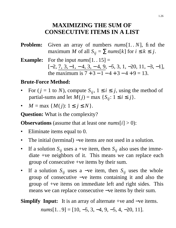### **MAXIMIZING THE SUM OF CONSECUTIVE ITEMS IN A LIST**

- **Problem:** Given an array of numbers *nums*[1. *N*], find the maximum *M* of all  $S_{ij} = \sum nums[k]$  for  $i \leq k \leq j$ .
- **Example:** For the input  $nums[1..15] =$  $[-2, \underline{7}, 3, -1, -4, 3, -4, 9, -5, 3, 1, -20, 11, -3, -1],$ the maximum is  $7 + 3 - 1 - 4 + 3 - 4 + 9 = 13$ .

### **Brute-Force Method:**

- For  $(j = 1$  to *N*), compute  $S_{ij}$ ,  $1 \le i \le j$ , using the method of partial-sums and let  $M(j) = \max \{S_{ij}: 1 \le i \le j\}.$
- $M = \max \{ M(j): 1 \le j \le N \}.$

**Question:** What is the complexity?

**Observations** (assume that at least one  $nums[i] > 0$ ):

- Eliminate items equal to 0.
- The initial (terminal) –ve items are not used in a solution.
- If a solution  $S_{ij}$  uses a +ve item, then  $S_{ij}$  also uses the immediate +ve neighbors of it. This means we can replace each group of consecutive +ve items by their sum.
- If a solution *Sij* uses a −ve item, then *Sij* uses the whole group of consecutive −ve items containing it and also the group of +ve items on immediate left and right sides. This means we can replace consecutive –ve items by their sum.

# **Simplify Input:** It is an array of alternate +ve and −ve items.

*nums*[1. . 9] = [10, -5, 3, -4, 9, -5, 4, -20, 11].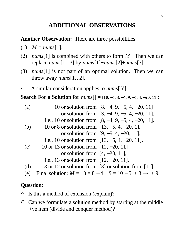# **ADDITIONAL OBSERVATIONS**

### **Another Observation:** There are three possibilities:

- $(1)$  *M* = *nums*[1].
- (2) *nums*[1] is combined with others to form *M*. Then we can replace *nums*[1. . 3] by *nums*[1]+*nums*[2]+*nums*[3].
- (3) *nums*[1] is not part of an optimal solution. Then we can throw away *nums*[1. . 2].
- A similar consideration applies to *nums*[*N*].

### **Search For a Solution for** *nums*[] **= [10,** −**5, 3,** −**4, 9,** −**5, 4,** −**20, 11]:**

- (a) 10 or solution from  $[8, -4, 9, -5, 4, -20, 11]$ or solution from [3, −4, 9, −5, 4, −20, 11], i.e., 10 or solution from [8, −4, 9, −5, 4, −20, 11]. (b) 10 or 8 or solution from [13, −5, 4, −20, 11] or solution from [9, −5, 4, −20, 11], i.e., 10 or solution from [13, −5, 4, −20, 11]. (c) 10 or 13 or solution from  $[12, -20, 11]$ or solution from  $[4, -20, 11]$ , i.e., 13 or solution from [12, −20, 11]. (d) 13 or 12 or solution from [3] or solution from [11].
- (e) Final solution:  $M = 13 = 8 4 + 9 = 10 5 + 3 4 + 9$ .

- •? Is this a method of extension (explain)?
- •? Can we formulate a solution method by starting at the middle +ve item (divide and conquer method)?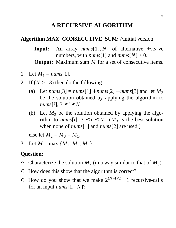### **A RECURSIVE ALGORITHM**

#### **Algorithm MAX\_CONSECUTIVE\_SUM:** //initial version

**Input:** An array *nums*[1. . *N*] of alternative +ve/-ve numbers, with  $nums[1]$  and  $nums[N] > 0$ . **Output:** Maximum sum *M* for a set of consecutive items.

- 1. Let  $M_1 = \text{nums}[1]$ .
- 2. If  $(N \ge 3)$  then do the following:
	- (a) Let  $nums[3] = nums[1] + nums[2] + nums[3]$  and let  $M_2$ be the solution obtained by applying the algorithm to  $nums[i], 3 \le i \le N$ .
	- (b) Let  $M_3$  be the solution obtained by applying the algorithm to *nums*[*i*],  $3 \le i \le N$ . (*M*<sub>3</sub> is the best solution when none of *nums*[1] and *nums*[2] are used.)

else let  $M_2 = M_3 = M_1$ .

3. Let  $M = \max \{M_1, M_2, M_3\}.$ 

- •? Characterize the solution  $M_2$  (in a way similar to that of  $M_3$ ).
- •? How does this show that the algorithm is correct?
- •? How do you show that we make  $2^{(N+1)/2} 1$  recursive-calls for an input *nums*[1. . *N*]?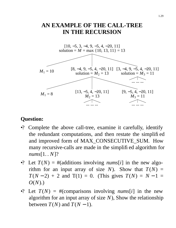### **AN EXAMPLE OF THE CALL-TREE IN THE RECURSION**



- •? Complete the above call-tree, examine it carefully, identify the redundant computations, and then restate the simplified and improved form of MAX\_CONSECUTIVE\_SUM. How many recursive-calls are made in the simplified algorithm for *nums*[1. . *N*]?
- •? Let  $T(N) = #$ (additions involving *nums*[*i*] in the new algorithm for an input array of size *N*). Show that  $T(N) =$  $T(N-2) + 2$  and  $T(1) = 0$ . (This gives  $T(N) = N-1$ *O*(*N*).)
- •? Let  $T(N) = #$ (comparisons involving *nums*[*i*] in the new algorithm for an input array of size *N*), Show the relationship between  $T(N)$  and  $T(N-1)$ .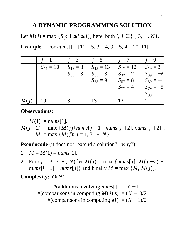### **A DYNAMIC PROGRAMMING SOLUTION**

Let *M*(*j*) = max {*S*<sub>*ij*</sub>: 1 ≤ *i* ≤ *j*}; here, both *i*, *j* ∈ {1, 3, ⋅⋅⋅, *N*}. **Example.** For  $nums[]= [10, -5, 3, -4, 9, -5, 4, -20, 11],$ 

|      | $i=1$         | $j=3$        | $j=5$           | $j=7$           | $j=9$         |
|------|---------------|--------------|-----------------|-----------------|---------------|
|      | $S_{11} = 10$ | $S_{13} = 8$ | $S_{15} = 13$   | $S_{17} = 12$   | $S_{19} = 3$  |
|      |               | $S_{33} = 3$ | $S_{35} = 8$    | $S_{37} = 7$    | $S_{39} = -2$ |
|      |               |              | $S_{55} = 9$    | $S_{57} = 8$    | $S_{59} = -1$ |
|      |               |              |                 | $S_{77} = 4$    | $S_{79} = -5$ |
|      |               |              |                 |                 | $S_{99} = 11$ |
| M(i) | 10            |              | 13 <sup>7</sup> | 12 <sup>7</sup> | 11            |

#### **Observations:**

 $M(1) = \textit{nums}[1].$  $M(j + 2) = \max \{M(j) + \text{nums}[j + 1] + \text{nums}[j + 2], \text{nums}[j + 2]\}.$  $M = \max \{M(j): j = 1, 3, \dots, N\}.$ 

**Pseudocode** (it does not "extend a solution" - why?):

1. 
$$
M = M(1) = nums[1]
$$
.

2. For  $(j = 3, 5, \cdots, N)$  let  $M(j) = \max \{nums[j], M(j-2) +$  $nums[j-1] + nums[j]$ } and finally  $M = max \{M, M(j)\}.$ 

**Complexity:** *O*(*N*).

 $#(additions involving *nums*[]) = N - 1$ #(comparisons in computing  $M(j)$ 's) =  $(N - 1)/2$ #(comparisons in computing  $M$ ) =  $(N - 1)/2$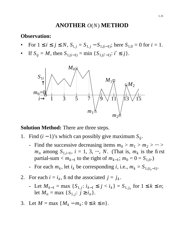### **ANOTHER** *O*(*N*) **METHOD**

#### **Observation:**

- For  $1 \le i \le j \le N$ ,  $S_{i,j} = S_{1,j} S_{1,(i-1)}$ ; here  $S_{1,0} = 0$  for  $i = 1$ .
- *If S*<sup>*ij*</sup> = *M*, then *S*<sub>1,(*i*−1)</sub> = min {*S*<sub>1,(*i*′−1)</sub>:  $i' ≤ j$ }.



**Solution Method:** There are three steps.

- 1. Find (*i* − 1)'s which can possibly give maximum *Sij*.
	- Find the successive decreasing items  $m_0 > m_1 > m_2 > \cdots >$  $m_n$  among  $S_{1,i-1}$ ,  $i = 1, 3, \dots, N$ . (That is,  $m_k$  is the first  $partial-sum < m_{k-1}$  to the right of  $m_{k-1}$ ;  $m_0 = 0 = S_{1,0}$ .)
	- For each  $m_k$ , let  $i_k$  be corresponding  $i$ , i.e.,  $m_k = S_{1,(i_k-1)}$ .
- 2. For each  $i = i_k$ , fi nd the associated  $j = j_k$ .
	- Let *Mk*−<sup>1</sup> = max {*S*1, *<sup>j</sup>* : *ik*−<sup>1</sup> ≤ *j* < *ik*} = *S*1, *<sup>j</sup><sup>k</sup>* for 1 ≤ *k* ≤ *n*; let  $M_n = \max \{ S_{1,j}: j \ge i_n \}.$
- 3. Let  $M = \max \{ M_k m_k : 0 \le k \le n \}.$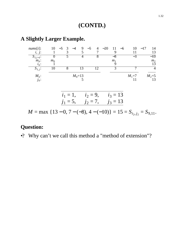### **(CONTD.)**

#### *nums*[*i*]: 10 −5 3 −4 9 −5 4 −20 11 −6 10 −17 14 *i*, *j*: 1 3 5 7 9 11 13  $\frac{i}{s}$ ,  $\frac{j}{s}$ ; : 0 5 4 8  $-8$   $-3$   $-10$ *mk* :  $m_0$  *m*<sub>1</sub> *m*<sub>2</sub> *ik* :  $1$  9 13  $\overline{S_{1,j}}$ 10 8 13 12 3 7 4 *M<sup>k</sup>*  $M_0=13$ <br>5 *M*<sub>1</sub>=7 *M*<sub>2</sub>=5<br>11 13 *jk* :  $5 \t 11 \t 13$  $i_1 = 1, \quad i_2 = 9, \quad i_3 = 13$  $j_1 = 5$ ,  $j_2 = 7$ ,  $j_3 = 13$  $M = \max \{13 - 0, 7 - (-8), 4 - (-10)\} = 15 = S_{i_2, j_2} = S_{9, 11}.$

#### **A Slightly Larger Example.**

### **Question:**

•? Why can't we call this method a "method of extension"?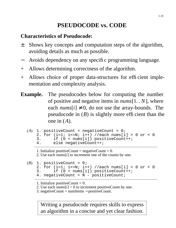# **PSEUDOCODE vs. CODE**

### **Characteristics of Pseudocode:**

- ± Shows key concepts and computation steps of the algorithm, avoiding details as much as possible.
- Avoids dependency on any specific programming language.
- + Allows determining correctness of the algorithm.
- + Allows choice of proper data-structures for efficient implementation and complexity analysis.
- **Example.** The pseudocodes below for computing the number of positive and negative items in *nums*[1. . *N*], where each  $nums[i] \neq 0$ , do not use the array-bounds. The pseudocode in  $(B)$  is slightly more efficient than the one in (*A*).

```
(A) 1. positiveCount = negativeCount = 0;
   2. for (i=1; i<=N; i++) //each nums[i] > 0 or < 0
   3. if (0 < nums[i]) positiveCount++;
   4. else negativeCount++;
```

```
1. Initialize positiveCount = negativeCount = 0.
```
2. Use each *nums*[*i*] to increment one of the counts by one.

```
(B) 1. positiveCount = 0;
    2. for (i=1; i<=N; i++) //each nums[i] > 0 or < 0
    3. if (0 < nums[i]) positiveCount++;
    4. negativeCount = N - positiveCount;
```
1. Initialize positiveCount  $= 0$ .

2. Use each  $nums[i] > 0$  to increment positive Count by one.

3. negativeCount = numItems − positiveCount.

Writing a pseudocode requires skills to express an algorithm in a concise and yet clear fashion.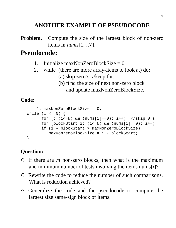# **ANOTHER EXAMPLE OF PSEUDOCODE**

**Problem.** Compute the size of the largest block of non-zero items in *nums*[1. . *N*].

# **Pseudocode:**

- 1. Initialize maxNonZeroBlockSize  $= 0$ .
- 2. while (there are more array-items to look at) do:
	- (a) skip zero's. //keep this
	- (b) find the size of next non-zero block
		- and update maxNonZeroBlockSize.

### **Code:**

```
i = 1; maxNonZeroBlockSize = 0;
while (i \leq N) {
      for (; (i<=N) && (nums[i]==0); i++); //skip 0'sfor (blockStart=i; (i<=N) && (nums[i]!=0); i++);
      if (i - blockStart > maxNonZeroBlockSize)
         maxNonZeroBlockSize = i - blockStart;
}
```
- •? If there are *m* non-zero blocks, then what is the maximum and minimum number of tests involving the items nums[*i*]?
- •? Rewrite the code to reduce the number of such comparisons. What is reduction achieved?
- •? Generalize the code and the pseudocode to compute the largest size same-sign block of items.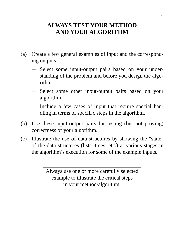### **ALWAYS TEST YOUR METHOD AND YOUR ALGORITHM**

- (a) Create a few general examples of input and the corresponding outputs.
	- Select some input-output pairs based on your understanding of the problem and before you design the algorithm.
	- Select some other input-output pairs based on your algorithm.

Include a few cases of input that require special handling in terms of specific steps in the algorithm.

- (b) Use these input-output pairs for testing (but not proving) correctness of your algorithm.
- (c) Illustrate the use of data-structures by showing the "state" of the data-structures (lists, trees, etc.) at various stages in the algorithm's execution for some of the example inputs.

Always use one or more carefully selected example to illustrate the critical steps in your method/algorithm.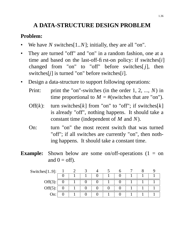# **A DATA-STRUCTURE DESIGN PROBLEM**

#### **Problem:**

- We have  $N$  switches $[1..N]$ ; initially, they are all "on".
- They are turned "off" and "on" in a random fashion, one at a time and based on the last-off-first-on policy: if switches[*i*] changed from "on" to "off" before switches $[j]$ , then switches[*j*] is turned "on" before switches[*i*].
- Design a data-structure to support following operations:
	- Print: print the "on"-switches (in the order 1, 2, ..., *N*) in time proportional to  $M = \#$ (switches that are "on").
	- Off $(k)$ : turn switches[k] from "on" to "off"; if switches[k] is already "off", nothing happens. It should take a constant time (independent of *M* and *N*).
	- On: turn "on" the most recent switch that was turned "off"; if all switches are currently "on", then nothing happens. It should take a constant time.
- **Example:** Shown below are some on/off-operations (1 = on and  $0 =$  off).

| Switches $[1.9]$ : |  |  |  |  |  |
|--------------------|--|--|--|--|--|
|                    |  |  |  |  |  |
| Off $(3)$ :        |  |  |  |  |  |
| Off $(5)$ :        |  |  |  |  |  |
| On:                |  |  |  |  |  |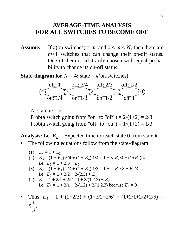### **AVERAGE-TIME ANALYSIS FOR ALL SWITCHES TO BECOME OFF**

**Assume:** If  $#(on-switches) = m$  and  $0 < m < N$ , then there are *m*+1 switches that can change their on-off status. One of them is arbitrarily chosen with equal probability to change its on-off status.

**State-diagram for**  $N = 4$ : state  $= #$ (on-switches).



At state  $m = 2$ : Prob(a switch going from "on" to "off") =  $2/(1+2) = 2/3$ . Prob(a switch going from "off" to "on") =  $1/(1+2) = 1/3$ .

**Analysis:** Let  $E_k$  = Expected time to reach state 0 from state  $k$ .

- The following equations follow from the state-diagram:
	- (1)  $E_4 = 1 + E_3$
	- (2)  $E_3 = (1 + E_2) \cdot 3/4 + (1 + E_4) \cdot 1/4 = 1 + 3 \cdot E_2 / 4 + (1 + E_3) / 4$ i.e.,  $E_3 = 1 + 2/3 + E_2$
	- (3)  $E_2 = (1 + E_1).2/3 + (1 + E_3).1/3 = 1 + 2. E_1/3 + E_3/3$ i.e.,  $E_2 = 1 + 2/2 + 2/(2.3) + E_1$
	- (4)  $E_1 = 1 + 2/1 + 2/(1.2) + 2/(1.2.3) + E_0$ i.e.,  $E_1 = 1 + 2/1 + 2/(1.2) + 2/(1.2.3)$  because  $E_0 = 0$
- Thus,  $E_4 = 1 + (1+2/3) + (1+2/2+2/6) + (1+2/1+2/2+2/6) =$ 9 1 3 .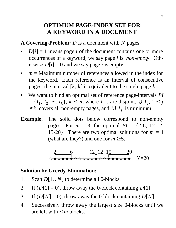### **OPTIMUM PAGE-INDEX SET FOR A KEYWORD IN A DOCUMENT**

**A Covering-Problem:** *D* is a document with *N* pages.

- $D[i]=1$  means page *i* of the document contains one or more occurrences of a keyword; we say page *i* is *non-empty*. Otherwise  $D[i] = 0$  and we say page *i* is empty.
- $m =$  Maximum number of references allowed in the index for the keyword. Each reference is an interval of consecutive pages; the interval [*k*, *k*] is equivalent to the single page *k*.
- We want to find an optimal set of reference page-intervals *PI*  $= \{I_1, I_2, ..., I_k\}, k \leq m$ , where  $I_j$ 's are disjoint,  $\bigcup I_j$ ,  $1 \leq j$ ≤ *k*, covers all non-empty pages, and  $\bigcup I_j$  is minimum.
- **Example.** The solid dots below correspond to non-empty pages. For  $m = 3$ , the optimal  $PI = \{2-6, 12-12,$ 15-20}. There are two optimal solutions for  $m = 4$ (what are they?) and one for  $m \geq 5$ .

2 6 12 12 15 20 *N*=20

### **Solution by Greedy Elimination:**

- 1. Scan *D*[1. . *N*] to determine all 0-blocks.
- 2. If  $(D[1] = 0)$ , throw away the 0-block containing  $D[1]$ .
- 3. If  $(D[N] = 0)$ , throw away the 0-block containing  $D[N]$ .
- 4. Successively throw away the largest size 0-blocks until we are left with  $\leq m$  blocks.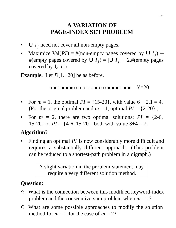# **A VARIATION OF PA GE-INDEX SET PROBLEM**

- $\bigcup I_j$  need not cover all non-empty pages.
- Maximize Val(*PI*) = #(non-empty pages covered by  $\bigcup I_j$ ) #(empty pages covered by ∪ *I<sub>j</sub>*) = |∪ *I<sub>j</sub>*| – 2.#(empty pages covered by  $\cup I_j$ ).

**Example.** Let  $D[1..20]$  be as before.

*N*=20

- For  $m = 1$ , the optimal  $PI = \{15{\text -}20\}$ , with value  $6 2.1 = 4$ . (For the original problem and  $m = 1$ , optimal  $PI = \{2-20\}$ .)
- For  $m = 2$ , there are two optimal solutions:  $PI = \{2-6,$ 15-20} or  $PI = \{4-6, 15-20\}$ , both with value  $3+4 = 7$ .

### **Algorithm?**

Finding an optimal *PI* is now considerably more difficult and requires a substantially different approach. (This problem can be reduced to a shortest-path problem in a digraph.)

> A slight variation in the problem-statement may require a very different solution method.

- •? What is the connection between this modified keyword-index problem and the consecutive-sum problem when *m* = 1?
- •? What are some possible approaches to modify the solution method for  $m = 1$  for the case of  $m = 2$ ?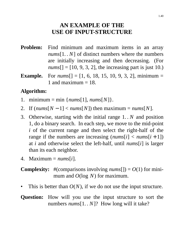### **AN EXAMPLE OF THE USE OF INPUT-STRUCTURE**

- **Problem:** Find minimum and maximum items in an array *nums*[1. . *N*] of distinct numbers where the numbers are initially increasing and then decreasing. (For  $nums$ [] = [10, 9, 3, 2], the increasing part is just 10.)
- **Example.** For *nums*[] = [1, 6, 18, 15, 10, 9, 3, 2], minimum = 1 and maximum  $= 18$ .

### **Algorithm:**

- 1. minimum = min  ${nums[1], nums[N]}$ .
- 2. If  $(nums[N-1] < nums[N])$  then maximum =  $nums[N]$ .
- 3. Otherwise, starting with the initial range 1. . *N* and position 1, do a binary search. In each step, we move to the mid-point *i* of the current range and then select the right-half of the range if the numbers are increasing  $(nums[i] < nums[i+1])$ at *i* and otherwise select the left-half, until *nums*[*i*] is larger than its each neighbor.
- 4. Maximum = *nums*[*i*].

### **Complexity:** #(comparisons involving  $nums[$ ]) =  $O(1)$  for minimum and *O*(log *N*) for maximum.

This is better than  $O(N)$ , if we do not use the input structure.

**Question:** How will you use the input structure to sort the numbers *nums*[1. . *N*]? How long will it take?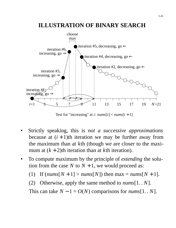### **ILLUSTRATION OF BINARY SEARCH**



Test for "increasing" at *i*:  $nums[i] < nums[i+1]$ 

- Strictly speaking, this is *not a successive approximations* because at  $(i + 1)$ th iteration we may be further away from the maximum than at *k*th (though we are closer to the maximum at  $(k + 2)$ th iteration than at *k*th iteration).
- To compute maximum by the principle of *extending* the solution from the case N to  $N + 1$ , we would proceed as:
	- (1) If  $(nums[N + 1] > nums[N])$  then max =  $nums[N + 1]$ .
	- (2) Otherwise, apply the same method to *nums*[1. . *N*].

This can take  $N - 1 = O(N)$  comparisons for  $nums[1..N]$ .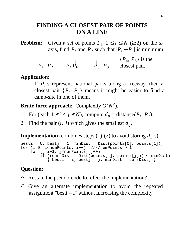### **FINDING A CLOSEST PAIR OF POINTS ON A LINE**

**Problem:** Given a set of points  $P_i$ ,  $1 \le i \le N$  ( $\ge 2$ ) on the xaxis, find  $P_i$  and  $P_j$  such that  $|P_i - P_j|$  is minimum.



**Application:**

If  $P_i$ 's represent national parks along a freeway, then a closest pair  $\{P_i, P_j\}$  means it might be easier to find a camp-site in one of them.

**Brute-force approach:** Complexity *O*(*N* 2 ).

- 1. For (each  $1 \le i < j \le N$ ), compute  $d_{ij} = \text{distance}(P_i, P_j)$ .
- 2. Find the pair  $(i, j)$  which gives the smallest  $d_{ij}$ .

**Implementation** (combines steps (1)-(2) to avoid storing  $d_{ij}$ 's):

```
besti = 0; bestj = 1; minDist = Dist(points[0], points[1]);
for (i=0; i<sub>numPoints</sub>; i++) ////numPoints > 1
    for (j=i+1; j<numPoints; j++)if ((currDist = Dist(points[i], points[j])) < minDist)
           { besti = i; bestj = j; minDist = currDist; }
```
- •? Restate the pseudo-code to reflect the implementation?
- •? Give an alternate implementation to avoid the repeated assignment "besti  $=$  i" without increasing the complexity.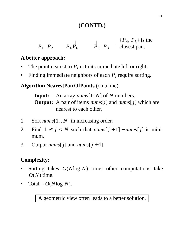# **(CONTD.)**



### **A better approach:**

- The point nearest to  $P_i$  is to its immediate left or right.
- Finding immediate neighbors of each  $P_i$  require sorting.

**Algorithm NearestPairOfPoints** (on a line):

**Input:** An array *nums*[1: *N*] of *N* numbers. **Output:** A pair of items *nums*[*i*] and *nums*[ *j*] which are nearest to each other.

- 1. Sort *nums*[1. . *N*] in increasing order.
- 2. Find  $1 \leq j \leq N$  such that  $nums[j+1] nums[j]$  is minimum.
- 3. Output *nums*[*j*] and *nums*[*j* + 1].

# **Complexity:**

- Sorting takes *O*(*N*log *N*) time; other computations take  $O(N)$  time.
- Total =  $O(N \log N)$ .

A geometric view often leads to a better solution.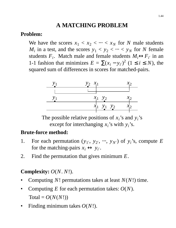# **A MATCHING PROBLEM**

### **Problem:**

We have the scores  $x_1 < x_2 < \cdots < x_N$  for *N* male students *M*<sub>*i*</sub> in a test, and the scores  $y_1 < y_2 < \cdots < y_N$  for *N* female students  $F_i$ . Match male and female students  $M_i \leftrightarrow F_{i'}$  in an 1-1 fashion that minimizes  $E = \sum (x_i - y_i)^2$  (1 ≤ *i* ≤ *N*), the squared sum of differences in scores for matched-pairs.



The possible relative positions of  $x_i$ 's and  $y_i$ 's except for interchanging  $x_i$ 's with  $y_i$ 's.

### **Brute-force method:**

- 1. For each permutation  $(y_1, y_2, ..., y_{N'})$  of  $y_i$ 's, compute *E* for the matching-pairs  $x_i \leftrightarrow y_{i'}$ .
- 2. Find the permutation that gives minimum *E*.

### **Complexity:** *O*(*N*. *N*!).

- Computing *N*! permutations takes at least *N*(*N*!) time.
- Computing  $E$  for each permutation takes:  $O(N)$ .  $Total = O(N(N!)$
- Finding minimum takes *O*(*N*!).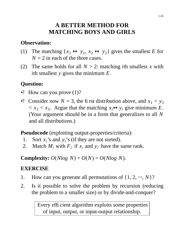# **A BETTER METHOD FOR MATCHING BOYS AND GIRLS**

### **Observation:**

- (1) The matching  $\{x_1 \leftrightarrow y_1, x_2 \leftrightarrow y_2\}$  gives the smallest *E* for  $N = 2$  in each of the three cases.
- (2) The same holds for all  $N > 2$ : matching *i*th smallest *x* with *i*th smallest *y* gives the minimum *E*.

# **Question:**

- •? How can you prove  $(1)$ ?
- •? Consider now  $N = 3$ , the first distribution above, and  $x_1 < y_3$  $x_2 < x_3$ . Argue that the matching  $x_i \leftrightarrow y_i$  give minimum *E*. (Your argument should be in a form that generalizes to all *N* and all distributions.)

**Pseudocode** (exploiting output-properties/criteria):

- 1. Sort  $x_i$ 's and  $y_i$ 's (if they are not sorted).
- 2. Match  $M_i$  with  $F_i$ <sup>*i*</sup> if  $x_i$  and  $y_i$ <sup>*i*</sup> have the same rank.

**Complexity:**  $O(Nlog N) + O(N) = O(Nlog N)$ .

### **EXERCISE**

- 1. How can you generate all permutations of  $\{1, 2, \cdots, N\}$ ?
- 2. Is it possible to solve the problem by recursion (reducing the problem to a smaller size) or by divide-and-conquer?

Every efficient algorithm exploits some properties of input, output, or input-output relationship.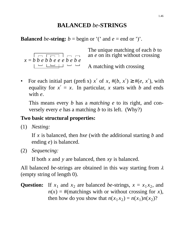### **BALANCED** *be***-STRINGS**

**Balanced** *be*-string:  $b = \text{begin or } '(' \text{ and } e = \text{end or } ')'$ .

 $x = b$  *b e b b e e e b e b e b e b e b e b e b e b e b e b e b e b e b e b e b e b e b e b e b e b e b e b e b e b*  The unique matching of each *b* to an *e* on its right without crossing

A matching with crossing

• For each initial part (prefix)  $x'$  of  $x$ ,  $\#(b, x') \ge \#(e, x')$ , with equality for  $x' = x$ . In particular, x starts with *b* and ends with *e*.

This means every *b* has a *matching e* to its right, and conversely every *e* has a matching *b* to its left. (Why?)

### **Two basic structural properties:**

(1) *Nesting:*

If *x* is balanced, then *bxe* (with the additional starting *b* and ending *e*) is balanced.

(2) *Sequencing:*

If both *x* and *y* are balanced, then *xy* is balanced.

All balanced *be*-strings are obtained in this way starting from <sup>λ</sup> (empty string of length 0).

### Question: If  $x_1$  and  $x_2$  are balanced *be*-strings,  $x = x_1 x_2$ , and  $n(x) =$ #(matchings with or without crossing for *x*), then how do you show that  $n(x_1 x_2) = n(x_1)n(x_2)$ ?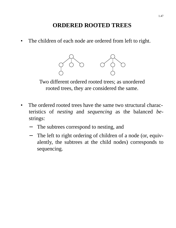# **ORDERED ROOTED TREES**

The children of each node are ordered from left to right.

![](_page_46_Figure_2.jpeg)

Two different ordered rooted trees; as unordered rooted trees, they are considered the same.

- The ordered rooted trees have the same two structural characteristics of *nesting* and *sequencing* as the balanced *be*strings:
	- The subtrees correspond to nesting, and
	- − The left to right ordering of children of a node (or, equivalently, the subtrees at the child nodes) corresponds to sequencing.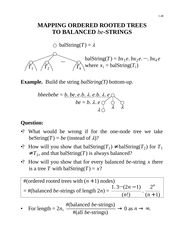### **MAPPING ORDERED ROOTED TREES TO BALANCED** *be***-STRINGS**

 $\bigcirc$  balString(*T*) =  $\lambda$ 

![](_page_47_Figure_2.jpeg)

**Example.** Build the string *balString(T)* bottom-up.

$$
bbeebebe = \underbrace{b. be. e. b. \lambda. e. b. \lambda. e}_{be = b. \lambda. e} \underbrace{\wedge}_{\lambda} \underbrace{\wedge}_{\lambda} \underbrace{\wedge}_{\lambda}
$$

### **Question:**

- •? What would be wrong if for the one-node tree we take beString( $T$ ) = *be* (instead of  $\lambda$ )?
- •? How will you show that balString( $T_1$ )  $\neq$  balString( $T_2$ ) for  $T_1$  $\neq T_2$ , and that balString(*T*) is always balanced?
- •? How will you show that for every balanced *be*-string *x* there is a tree *T* with balString(*T*) =  $x$ ?

#(ordered rooted trees with  $(n + 1)$  nodes) = #(balanced *be*-strings of length 2*n*) =  $1.3 \cdot \cdot \cdot (2n - 1)$ (*n*!) . 2 *n*  $(n + 1)$ 

• For length = 
$$
2n
$$
,  $\frac{\#(\text{balanced } be\text{-strings})}{\#(\text{all } be\text{-strings})} \to 0 \text{ as } n \to \infty$ .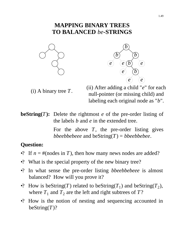### **MAPPING BINARY TREES TO BALANCED** *be***-STRINGS**

![](_page_48_Figure_1.jpeg)

![](_page_48_Figure_2.jpeg)

(i) A binary tree *T*.

(ii) After adding a child "*e*" for each null-pointer (or missing child) and labeling each original node as "*b*".

**beString(***T***):** Delete the rightmost  $e$  of the pre-order listing of the labels *b* and *e* in the extended tree.

> For the above *T*, the pre-order listing gives *bbeebbebeee* and beString(*T*) = *bbeebbebee*.

- •? If  $n = \text{\#(nodes in } T)$ , then how many news nodes are added?
- •? What is the special property of the new binary tree?
- •? In what sense the pre-order listing *bbeebbebeee* is almost balanced? How will you prove it?
- •? How is beString(*T*) related to beString(*T*<sub>1</sub>) and beString(*T*<sub>2</sub>), where  $T_1$  and  $T_2$  are the left and right subtrees of  $T$ ?
- •? How is the notion of nesting and sequencing accounted in beString(*T*)?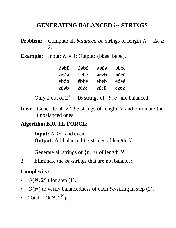# **GENERATING BALANCED** *be***-STRINGS**

- **Problem:** Compute all *balanced be*-strings of length  $N = 2k \geq$ 2.
- **Example:** Input:  $N = 4$ ; Output: {bbee, bebe}.

| инин | bbbe | bbeb | bbee |
|------|------|------|------|
| bébb | hehe | beeb | beee |
| ekkk | ébbé | ébéb | ébéé |
| eebb | eebe | eeeb | éééé |

Only 2 out of  $2^N = 16$  strings of  $\{b, e\}$  are balanced.

**Idea:** Generate all 2*<sup>N</sup> be*-strings of length *N* and eliminate the unbalanced ones.

#### **Algorithm BRUTE-FORCE:**

**Input:**  $N \ge 2$  and even. **Output:** All balanced *be*-strings of length *N*.

- 1. Generate all strings of {*b*, *e*} of length *N*.
- 2. Eliminate the *be*-strings that are not balanced.

### **Complexity:**

- $O(N \cdot 2^N)$  for step (1).
- *O*(*N*) to verify balancedness of each *be*-string in step (2).
- Total =  $O(N \cdot 2^N)$ .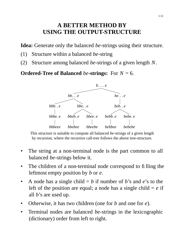### **A BETTER METHOD BY USING THE OUTPUT-STRUCTURE**

**Idea:** Generate only the balanced *be*-strings using their structure.

- (1) Structure within a balanced *be*-string
- (2) Structure among balanced *be*-strings of a given length *N*.

**Ordered-Tree of Balanced** *be***-strings:** For *N* = 6.

![](_page_50_Figure_5.jpeg)

This structure is suitable to compute all balanced *be*-strings of a given length by recursion, where the recursive call-tree follows the above tree-structure.

- The string at a non-terminal node is the part common to all balanced *be*-strings below it.
- The children of a non-terminal node correspond to filling the leftmost empty position by *b* or *e*.
- A node has a single child  $= b$  if number of *b*'s and *e*'s to the left of the position are equal; a node has a single child  $= e$  if all *b*'s are used up.
- Otherwise, it has two children (one for *b* and one for *e*).
- Terminal nodes are balanced *be*-strings in the lexicographic (dictionary) order from left to right.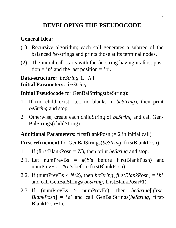# **DEVELOPING THE PSEUDOCODE**

### **General Idea:**

- (1) Recursive algorithm; each call generates a subtree of the balanced *be*-strings and prints those at its terminal nodes.
- (2) The initial call starts with the *be*-string having its first position =  $'b'$  and the last position =  $'e'$ .

**Data-structure:** *beString*[1. . *N*] **Initial Parameters:** *beString*

**Initial Pseudocode** for GenBalStrings(beString):

- 1. If (no child exist, i.e., no blanks in *beString*), then print *beString* and stop.
- 2. Otherwise, create each childString of *beString* and call Gen-BalStrings(childString).

**Additional Parameters:** firstBlankPosn (= 2 in initial call)

**First refinement** for GenBalStrings(*beString*, firstBlankPosn):

- 1. If (firstBlankPosn = *N*), then print *beString* and stop.
- 2.1. Let numPrevBs  $=$  # $(b)$ 's before firstBlankPosn) and numPrevEs  $=$  # $(e^s$ s before fi rstBlankPosn).
- 2.2. If (numPrevBs  $\langle N/2 \rangle$ , then *beString* [*firstBlankPosn*] = '*b*' and call GenBalStrings(*beString*, firstBlankPosn+1).
- 2.3. If (numPrevBs > numPrevEs), then *beString*[ *first-BlankPosn*]='*e*' and call GenBalStrings(*beString*, first-BlankPosn+1).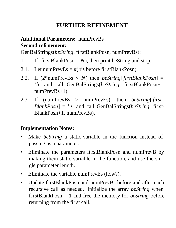# **FURTHER REFINEMENT**

### **Additional Parameters:** numPrevBs **Second refinement:**

GenBalStrings(*beString*, firstBlankPosn, numPrevBs):

- 1. If (firstBlankPosn  $= N$ ), then print beString and stop.
- 2.1. Let numPrevEs  $= \#(e)$ 's before firstBlankPosn).
- 2.2. If (2\*numPrevBs < *N*) then *beString*[ *firstBlankPosn*] = '*b*' and call GenBalStrings(*beString*, firstBlankPosn+1, numPrevBs+1).
- 2.3. If (numPrevBs > numPrevEs), then *beString*[ *first-BlankPosn*]='*e*' and call GenBalStrings(*beString*, first-BlankPosn+1, numPrevBs).

### **Implementation Notes:**

- Make *beString* a static-variable in the function instead of passing as a parameter.
- Eliminate the parameters firstBlankPosn and numPrevB by making them static variable in the function, and use the single parameter length.
- Eliminate the variable numPrevEs (how?).
- Update firstBlankPosn and numPrevBs before and after each recursive call as needed. Initialize the array *beString* when firstBlankPosn = 1 and free the memory for *beString* before returning from the first call.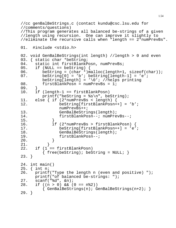//cc genBalBeStrings.c (contact kundu@csc.lsu.edu for //comments/questions) //This program generates all balanced be-strings of a given //length using recursion. One can improve it slightly to //eliminate the recursive calls when "length == 2\*numPrevBs". 01. #include <stdio.h> 02. void GenBalBeStrings(int length) //length > 0 and even 03. { static char \*beString;<br>04. static int firstBlankP static int firstBlankPosn, numPrevBs;  $05.$  if (NULL == beString) { 06. beString = (char \*)malloc(length+1, sizeof(char));<br>07. beString[0] = 'b'; beString[length-1] = 'e';  $\text{bestring}[0] = 'b'$ ;  $\text{bestring}[\text{length-1}] = 'e'$ ; beString[length] =  $\sqrt{0'i}$  //helps printing 08. firstBlankPosn = numPrevBs = 1; 09. } 10. if (length-1 == firstBlankPosn)  $print('behavior = %s\n', best\n')$ 11. else { if (2\*numPrevBs < length) { 12. beString[firstBlankPosn++] = 'b'; numPrevBs++; 13. GenBalBeStrings(length); 14. firstBlankPosn--; numPrevBs--; 15. } 16. if (2\*numPrevBs > firstBlankPosn) { 17. beString[firstBlankPosn++] = 'e'; 18. GenBalBeStrings(length);<br>19. firstBlankPosn--; firstBlankPosn--;  $20.$  } 21. } 22. if (1 == firstBlankPosn)  $\{$  free(beString); beString = NULL;  $\}$ 23. } 24. int main() 25. { int n; 26. printf("Type the length n (even and positive) "); printf("of balanced be-strings: "); 27. scanf("%d", &n); 28. if ((n > 0) && (0 == n%2))  $\{ GenBalBestrings(n); GenBalBestrings(n+2); \}$ 29. }

1.54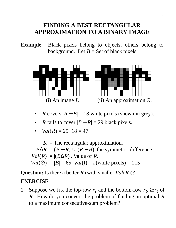### **FINDING A BEST RECTANGULAR APPROXIMATION TO A BINARY IMAGE**

**Example.** Black pixels belong to objects; others belong to background. Let  $B =$  Set of black pixels.

![](_page_54_Figure_2.jpeg)

- *R* covers  $|R B| = 18$  white pixels (shown in grey).
- *R* fails to cover  $|B R| = 29$  black pixels.

• 
$$
Val(R) = 29 + 18 = 47
$$
.

 $R =$ The rectangular approximation.

 $B\Delta R = (B - R) \cup (R - B)$ , the symmetric-difference.

 $Val(R) = |(B\Delta R)|$ , Value of *R*.

 $Val(Q) = |B| = 65$ ;  $Val(I) = #(white pixels) = 115$ 

**Question:** Is there a better *R* (with smaller *Val*(*R*))?

#### **EXERCISE**

1. Suppose we fix the top-row  $r_t$  and the bottom-row  $r_b \ge r_t$  of *R*. How do you convert the problem of finding an optimal *R* to a maximum consecutive-sum problem?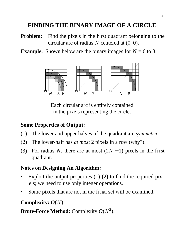# **FINDING THE BINARY IMAGE OF A CIRCLE**

- **Problem:** Find the pixels in the first quadrant belonging to the circular arc of radius *N* centered at (0, 0).
- **Example.** Shown below are the binary images for  $N = 6$  to 8.

![](_page_55_Figure_3.jpeg)

Each circular arc is entirely contained in the pixels representing the circle.

#### **Some Properties of Output:**

- (1) The lower and upper halves of the quadrant are *symmetric*.
- (2) The lower-half has *at most* 2 pixels in a row (why?).
- (3) For radius *N*, there are at most  $(2N 1)$  pixels in the first quadrant.

### **Notes on Designing An Algorithm:**

- Exploit the output-properties  $(1)-(2)$  to find the required pixels; we need to use only integer operations.
- Some pixels that are not in the final set will be examined.

### **Complexity:** *O*(*N*);

**Brute-Force Method:** Complexity *O*(*N* 2 ).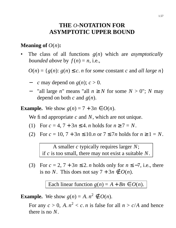### **THE** *O***-NOTATION FOR ASYMPTOTIC UPPER BOUND**

#### **Meaning of** *O*(*n*)**:**

• The class of all functions *g*(*n*) which are *asymptotically bounded above* by  $f(n) = n$ , i.e.,

 $O(n) = \{ g(n) : g(n) \leq c \}$ . *n* for *some* constant *c* and *all large n* 

- − *c* may depend on *g*(*n*); *c* > 0.
- − "all large *n*" means "all *n* ≥ *N* for some *N* > 0"; *N* may depend on both  $c$  and  $g(n)$ .

**Example.** We show  $g(n) = 7 + 3n \in O(n)$ .

We find appropriate *c* and *N*, which are not unique.

- (1) For  $c = 4$ ,  $7 + 3n \le 4$ . *n* holds for  $n \ge 7 = N$ .
- (2) For  $c = 10, 7 + 3n \le 10 \cdot n$  or  $7 \le 7n$  holds for  $n \ge 1 = N$ .

A smaller *c* typically requires larger *N*; if *c* is too small, there may not exist a suitable *N*.

(3) For  $c = 2$ ,  $7 + 3n \le 2$ . *n* holds only for  $n \le -7$ , i.e., there is no *N*. This does not say  $7 + 3n \notin O(n)$ .

Each linear function  $g(n) = A + Bn \in O(n)$ .

**Example.** We show  $g(n) = A \cdot n^2 \notin O(n)$ .

For any  $c > 0$ , A.  $n^2 < c$ . *n* is false for all  $n > c/A$  and hence there is no *N*.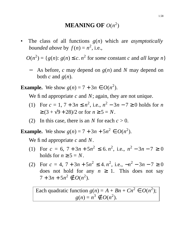# **MEANING OF** *O*(*n* 2 )

• The class of all functions *g*(*n*) which are *asymptotically bounded above* by  $f(n) = n^2$ , i.e.,

 $O(n^2) = \{g(n): g(n) \le c \cdot n^2 \text{ for some constant } c \text{ and all large } n\}$ 

As before, *c* may depend on *g*(*n*) and *N* may depend on both  $c$  and  $g(n)$ .

**Example.** We show  $g(n) = 7 + 3n \in O(n^2)$ .

We find appropriate *c* and *N*; again, they are not unique.

- (1) For  $c = 1, 7 + 3n \le n^2$ , i.e.,  $n^2 3n 7 \ge 0$  holds for *n*  $\geq$  (3 +  $\sqrt{9+28}$ )/2 or for  $n \geq 5 = N$ .
- (2) In this case, there is an *N* for each  $c > 0$ .

**Example.** We show  $g(n) = 7 + 3n + 5n^2 \in O(n^2)$ .

We find appropriate *c* and *N*.

- (1) For  $c = 6$ ,  $7 + 3n + 5n^2 \le 6$ .  $n^2$ , i.e.,  $n^2 3n 7 \ge 0$ holds for  $n \geq 5 = N$ .
- (2) For  $c = 4$ ,  $7 + 3n + 5n^2 \le 4$ .  $n^2$ , i.e.,  $-n^2 3n 7 \ge 0$ does not hold for any  $n \geq 1$ . This does not say  $7 + 3n + 5n^2 \notin O(n^2)$ .

Each quadratic function  $g(n) = A + Bn + Cn^2 \in O(n^2);$  $g(n) = n^3 \notin O(n^2)$ .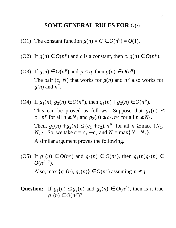#### **SOME GENERAL RULES FOR** *O*(⋅)

- (O1) The constant function  $g(n) = C \in O(n^0) = O(1)$ .
- (O2) If  $g(n) \in O(n^p)$  and *c* is a constant, then  $c. g(n) \in O(n^p)$ .
- (O3) If  $g(n) \in O(n^p)$  and  $p < q$ , then  $g(n) \in O(n^q)$ . The pair  $(c, N)$  that works for  $g(n)$  and  $n<sup>p</sup>$  also works for  $g(n)$  and  $n<sup>q</sup>$ .
- (O4) If  $g_1(n)$ ,  $g_2(n) \in O(n^p)$ , then  $g_1(n) + g_2(n) \in O(n^p)$ . This can be proved as follows. Suppose that  $g_1(n) \leq$  $c_1$ ,  $n^p$  for all  $n \ge N_1$  and  $g_2(n) \le c_2$ ,  $n^p$  for all  $n \ge N_2$ . Then,  $g_1(n) + g_2(n) \le (c_1 + c_2)$ .  $n^p$  for all  $n \ge \max \{N_1,$ *N*<sub>2</sub>}. So, we take  $c = c_1 + c_2$  and  $N = \max\{N_1, N_2\}$ . A similar argument proves the following.
- (O5) If  $g_1(n) \in O(n^p)$  and  $g_2(n) \in O(n^q)$ , then  $g_1(n)g_2(n) \in O(n^q)$  $O(n^{p+q}).$ Also, max  $\{g_1(n), g_2(n)\}\in O(n^q)$  assuming  $p \le q$ .
- Question: If  $g_1(n) \leq g_2(n)$  and  $g_2(n) \in O(n^p)$ , then is it true  $g_1(n) \in O(n^p)$ ?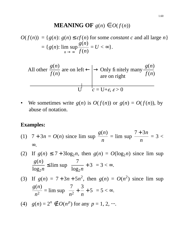### **MEANING OF**  $g(n) \in O(f(n))$

 $O(f(n)) = \{g(n): g(n) \le cf(n) \text{ for some constant } c \text{ and all large } n\}$  $= \{ g(n) :$  $n \to \infty$ lim sup *g*(*n*) *f* (*n*)  $= U < \infty$  } .

All other 
$$
\frac{g(n)}{f(n)}
$$
 are on left  $\leftarrow$   $\rightarrow$  Only fi nicely many  $\frac{g(n)}{f(n)}$   
are on right

We sometimes write  $g(n)$  is  $O(f(n))$  or  $g(n) = O(f(n))$ , by abuse of notation.

#### **Examples:**

- (1)  $7 + 3n = O(n)$  since lim sup *g*(*n*) *n*  $=$  lim sup 7 + 3*n n*  $=$  3  $<$ ∞.
- (2) If  $g(n) \le 7 + 3\log_2 n$ , then  $g(n) = O(\log_2 n)$  since lim sup *g*(*n*)  $log_2 n$ ≤ lim sup  $\mathsf{I}$  $\overline{\phantom{a}}$  $\lfloor$ 7  $log_2 n$ + 3  $\overline{\phantom{a}}$  $\overline{\phantom{a}}$  $\overline{\mathsf{I}}$  $=3<\infty$ .

(3) If 
$$
g(n) = 7 + 3n + 5n^2
$$
, then  $g(n) = O(n^2)$  since lim sup  $\frac{g(n)}{n^2} = \limsup \left[ \frac{7}{n^2} + \frac{3}{n} + 5 \right] = 5 < \infty$ .

(4)  $g(n) = 2^n \notin O(n^p)$  for any  $p = 1, 2, ...$ .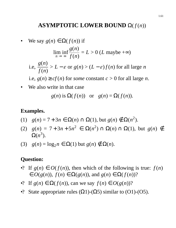#### **ASYMPTOTIC LOWER BOUND**  $\Omega(f(n))$

 $We say *g*(*n*) ∈ Ω(*f*(*n*)) if$  $n \to \infty$ lim inf *g*(*n*) *f* (*n*)  $=L > 0$  (*L* maybe +∞) i.e, *g*(*n*) *f* (*n*)  $> L - \varepsilon$  or  $g(n) > (L - \varepsilon) f(n)$  for all large *n* i.e,  $g(n) \geq cf(n)$  for *some* constant  $c > 0$  for all large *n*.

We also write in that case

$$
g(n)
$$
 is  $\Omega(f(n))$  or  $g(n) = \Omega(f(n))$ .

#### **Examples.**

- (1) *g*(*n*) = 7 + 3*n* ∈ Ω(*n*) ∩ Ω(1), but *g*(*n*) ∉ Ω(*n*<sup>2</sup>).
- (2)  $g(n) = 7 + 3n + 5n^2$  ∈ Ω(*n*<sup>2</sup>) ∩ Ω(*n*) ∩ Ω(1), but  $g(n) \notin$  $\Omega(n^3)$ .
- (3)  $g(n) = log_2 n \in \Omega(1)$  but  $g(n) \notin \Omega(n)$ .

- •? If  $g(n) \in O(f(n))$ , then which of the following is true:  $f(n)$ ∈ *O*(*g*(*n*)), *f* (*n*) ∈ Ω(*g*(*n*)), and *g*(*n*) ∈ Ω( *f* (*n*))?
- •? If  $g(n) \in \Omega(f(n))$ , can we say  $f(n) \in O(g(n))$ ?
- •? State appropriate rules  $(\Omega 1)$ - $(\Omega 5)$  similar to  $(O1)$ - $(O5)$ .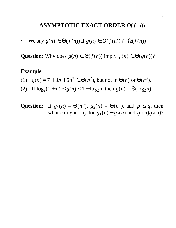### **ASYMPTOTIC EXACT ORDER**  $\Theta(f(n))$

 $\forall x \in \mathbb{R}$   $g(n) \in \Theta(f(n))$  if  $g(n) \in O(f(n)) \cap \Omega(f(n))$ 

**Question:** Why does  $g(n) \in \Theta(f(n))$  imply  $f(n) \in \Theta(g(n))$ ?

#### **Example.**

- (1)  $g(n) = 7 + 3n + 5n^2 \in \Theta(n^2)$ , but not in  $\Theta(n)$  or  $\Theta(n^3)$ .
- (2) If  $log_2(1 + n) \le g(n) \le 1 + log_2 n$ , then  $g(n) = \Theta(log_2 n)$ .
- **Question:** If  $g_1(n) = \Theta(n^p)$ ,  $g_2(n) = \Theta(n^q)$ , and  $p \le q$ , then what can you say for  $g_1(n) + g_2(n)$  and  $g_1(n)g_2(n)$ ?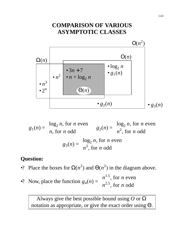### **COMPARISON OF VARIOUS ASYMPTOTIC CLASSES**

![](_page_62_Figure_1.jpeg)

$$
g_1(n) = \begin{cases} \log_2 n, \text{ for } n \text{ even} \\ n, \text{ for } n \text{ odd} \end{cases}
$$

$$
g_2(n) = \begin{cases} \log_2 n, \text{ for } n \text{ even} \\ n^2, \text{ for } n \text{ odd} \end{cases}
$$

$$
g_3(n) = \begin{cases} \log_2 n, \text{ for } n \text{ even} \\ n^3, \text{ for } n \text{ odd} \end{cases}
$$

#### **Question:**

- •? Place the boxes for  $\Omega(n^2)$  and  $\Theta(n^2)$  in the diagram above.
- •? Now, place the function  $g_4(n) =$  $\perp$  $\left\{ \right.$  $\lfloor$ *n* 1.5, for *n* even *n* 2.5, for *n* odd

Always give the best possible bound using *O* or Ω notation as appropriate, or give the exact order using Θ.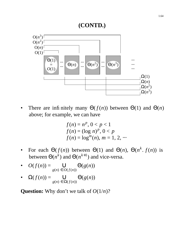### **(CONTD.)**

![](_page_63_Figure_1.jpeg)

There are infinitely many  $\Theta(f(n))$  between  $\Theta(1)$  and  $\Theta(n)$ above; for example, we can have

$$
f(n) = np, 0 < p < 1
$$
  
f(n) =  $(\log n)^p$ , 0 < p  
f(n) =  $\log^m(n)$ , m = 1, 2, ...

• For each  $\Theta(f(n))$  between  $\Theta(1)$  and  $\Theta(n)$ ,  $\Theta(n^k \cdot f(n))$  is between  $\Theta(n^k)$  and  $\Theta(n^{k+1})$  and vice-versa.

• 
$$
O(f(n)) = \bigcup_{g(n) \in O(f(n))} \Theta(g(n))
$$

• 
$$
\Omega(f(n)) = \bigcup_{g(n) \in \Omega(f(n))} \Theta(g(n))
$$

**Question:** Why don't we talk of  $O(1/n)$ ?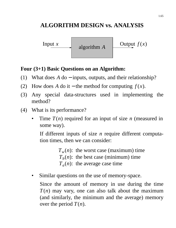# **ALGORITHM DESIGN vs. ANALYSIS**

algorithm *A*

Input *x*  $\Big|$  **o** algorithm *A*  $\Big|$  Output  $f(x)$ 

### **Four (3+1) Basic Questions on an Algorithm:**

- (1) What does *A* do − inputs, outputs, and their relationship?
- (2) How does *A* do it the method for computing  $f(x)$ .
- (3) Any special data-structures used in implementing the method?
- (4) What is its performance?
	- Time *T*(*n*) required for an input of size *n* (measured in some way).

If different inputs of size *n* require different computation times, then we can consider:

> $T_w(n)$ : the worst case (maximum) time  $T_b(n)$ : the best case (minimum) time  $T_a(n)$ : the average case time

Similar questions on the use of memory-space.

Since the amount of memory in use during the time *T*(*n*) may vary, one can also talk about the maximum (and similarly, the minimum and the average) memory over the period  $T(n)$ .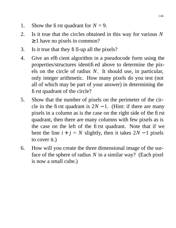- 1. Show the first quadrant for  $N = 9$ .
- 2. Is it true that the circles obtained in this way for various *N*  $\geq 1$  have no pixels in common?
- 3. Is it true that they fill-up all the pixels?
- 4. Give an efficient algorithm in a pseudocode form using the properties/structures identified above to determine the pixels on the circle of radius *N*. It should use, in particular, only integer arithmetic. How many pixels do you test (not all of which may be part of your answer) in determining the first quadrant of the circle?
- 5. Show that the number of pixels on the perimeter of the circle in the first quadrant is  $2N - 1$ . (Hint: if there are many pixels in a column as is the case on the right side of the first quadrant, then there are many columns with few pixels as is the case on the left of the first quadrant. Note that if we bent the line  $i + j = N$  slightly, then it takes  $2N - 1$  pixels to cover it.)
- 6. How will you create the three dimensional image of the surface of the sphere of radius *N* in a similar way? (Each pixel is now a small cube.)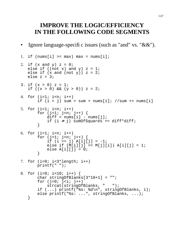### **IMPROVE THE LOGIC/EFFICIENCY IN THE FOLLOWING CODE SEGMENTS**

Ignore language-specific issues (such as "and" vs. " $\&&$ ").

```
1. if (nums[i] \geq = max) max = nums[i];
2. if (x \text{ and } y) z = 0;
   else if ((not x) and y) z = 1;
   else if (x \text{ and } (not y)) z = 2ielse z = 3;
3. if (x > 0) z = 1;
   if ((x > 0) \& (y > 0)) z = 2;4. for (i=1; i \le n; i++)if (i < j) sum = sum + nums[i]; //sum += nums[i]
5. for (i=1; i \le n; i++)for (j=1; j<n; j++) {
           diff = nums[i] - nums[j];if (i ≠ j) sumOfSquares += diff*diff;
       }
6. for (i=1; i \le n; i++)for (j=1; j<n; j++) {
           if (i == j) A[i][j] = -1;else if (M[i][j] >= M[j][i]) A[i][j] = 1;else A[i][j] = 0;}
7. for (i=0; i<3*length; i++)printf(" ");
8. for (i=0; i<10; i++) {
       char stringOfBlanks[3*10+1] = "";
       for (j=0; j<i; j++)strcat(stringOfBlanks, " ");
       if (...) printf("%s: %d\n", stringOfBlanks, i);
       else printf("%s: ...", stringOfBlanks, ...);
   }
```